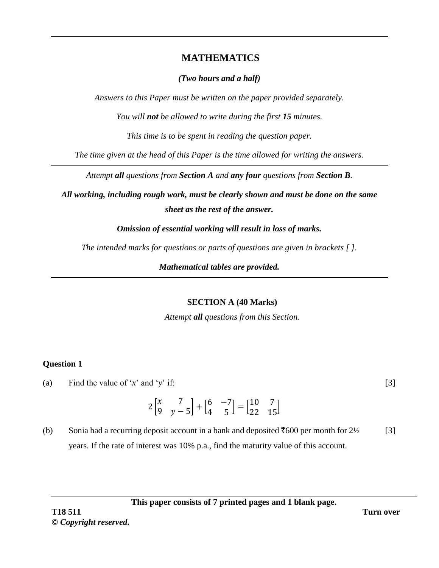# **MATHEMATICS**

### *(Two hours and a half)*

*Answers to this Paper must be written on the paper provided separately.*

*You will not be allowed to write during the first 15 minutes.*

*This time is to be spent in reading the question paper.*

*The time given at the head of this Paper is the time allowed for writing the answers.*

*Attempt all questions from Section A and any four questions from Section B.* 

*All working, including rough work, must be clearly shown and must be done on the same sheet as the rest of the answer.* 

*Omission of essential working will result in loss of marks.*

*The intended marks for questions or parts of questions are given in brackets [ ].*

*Mathematical tables are provided.*

#### **SECTION A (40 Marks)**

*Attempt all questions from this Section*.

## **Question 1**

(a) Find the value of '*x*' and '*y*' if:

$$
2\begin{bmatrix} x & 7 \\ 9 & y - 5 \end{bmatrix} + \begin{bmatrix} 6 & -7 \\ 4 & 5 \end{bmatrix} = \begin{bmatrix} 10 & 7 \\ 22 & 15 \end{bmatrix}
$$

(b) Sonia had a recurring deposit account in a bank and deposited  $\text{\textsterling}600$  per month for  $2\frac{1}{2}$ years. If the rate of interest was 10% p.a., find the maturity value of this account. [3]

**This paper consists of 7 printed pages and 1 blank page.**

[3]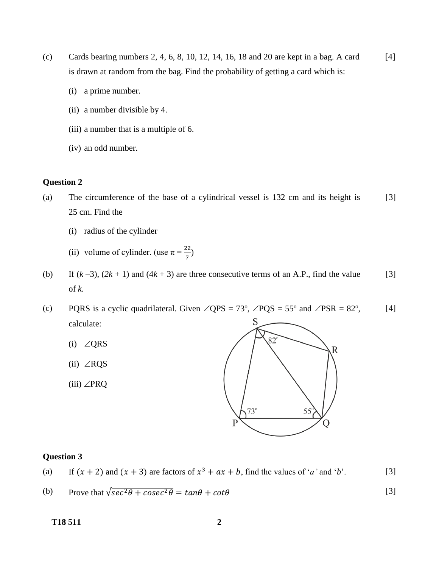- (c) Cards bearing numbers 2, 4, 6, 8, 10, 12, 14, 16, 18 and 20 are kept in a bag. A card is drawn at random from the bag. Find the probability of getting a card which is: [4]
	- (i) a prime number.
	- (ii) a number divisible by 4.
	- (iii) a number that is a multiple of 6.
	- (iv) an odd number.

#### **Question 2**

- (a) The circumference of the base of a cylindrical vessel is 132 cm and its height is 25 cm. Find the [3]
	- (i) radius of the cylinder
	- (ii) volume of cylinder. (use  $\pi = \frac{22}{7}$ )
- (b) If  $(k-3)$ ,  $(2k+1)$  and  $(4k+3)$  are three consecutive terms of an A.P., find the value of *k*. [3]
- (c) PQRS is a cyclic quadrilateral. Given  $\angle$ QPS = 73<sup>o</sup>,  $\angle$ PQS = 55<sup>o</sup> and  $\angle$ PSR = 82<sup>o</sup>, [4] S calculate:
	- (i)  $\angle$ QRS
	- $(ii) \angle RQS$
	- (iii)  $\angle$ PRQ



| (a) If $(x + 2)$ and $(x + 3)$ are factors of $x^3 + ax + b$ , find the values of ' <i>a</i> ' and ' <i>b</i> '. | $\lceil 3 \rceil$ |
|------------------------------------------------------------------------------------------------------------------|-------------------|
|------------------------------------------------------------------------------------------------------------------|-------------------|

(b) Prove that 
$$
\sqrt{\sec^2 \theta + \csc^2 \theta} = \tan \theta + \cot \theta
$$
 [3]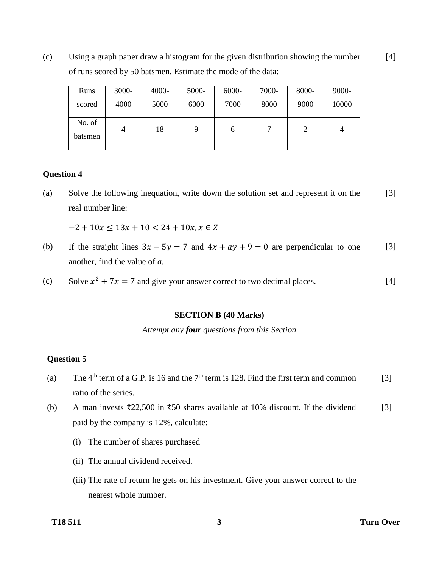(c) Using a graph paper draw a histogram for the given distribution showing the number of runs scored by 50 batsmen. Estimate the mode of the data: [4]

| Runs              | $3000 -$ | $4000 -$ | 5000- | 6000- | 7000- | 8000-          | 9000- |
|-------------------|----------|----------|-------|-------|-------|----------------|-------|
| scored            | 4000     | 5000     | 6000  | 7000  | 8000  | 9000           | 10000 |
| No. of<br>batsmen | 4        | 18       | 9     | b     |       | $\overline{2}$ | 4     |

# **Question 4**

(a) Solve the following inequation, write down the solution set and represent it on the real number line: [3]

 $-2 + 10x \le 13x + 10 < 24 + 10x, x \in \mathbb{Z}$ 

- (b) If the straight lines  $3x 5y = 7$  and  $4x + ay + 9 = 0$  are perpendicular to one another, find the value of *a.* [3]
- (c) Solve  $x^2 + 7x = 7$  and give your answer correct to two decimal places. [4]

#### **SECTION B (40 Marks)**

*Attempt any four questions from this Section*

- (a) The  $4<sup>th</sup>$  term of a G.P. is 16 and the  $7<sup>th</sup>$  term is 128. Find the first term and common ratio of the series. [3]
- (b) A man invests  $\overline{22,500}$  in  $\overline{50}$  shares available at 10% discount. If the dividend paid by the company is 12%, calculate: [3]
	- (i) The number of shares purchased
	- (ii) The annual dividend received.
	- (iii) The rate of return he gets on his investment. Give your answer correct to the nearest whole number.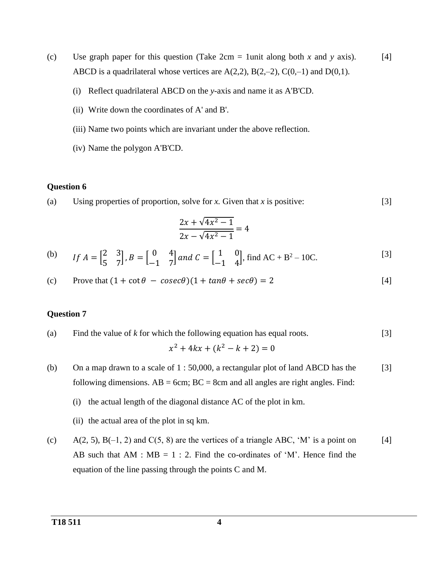- (c) Use graph paper for this question (Take 2cm = 1unit along both *x* and *y* axis). ABCD is a quadrilateral whose vertices are  $A(2,2)$ ,  $B(2,-2)$ ,  $C(0,-1)$  and  $D(0,1)$ . [4]
	- (i) Reflect quadrilateral ABCD on the *y*-axis and name it as A'B'CD.
	- (ii) Write down the coordinates of A' and B'.
	- (iii) Name two points which are invariant under the above reflection.
	- (iv) Name the polygon A'B'CD.

#### **Question 6**

(a) Using properties of proportion, solve for *x.* Given that *x* is positive: [3]

$$
\frac{2x + \sqrt{4x^2 - 1}}{2x - \sqrt{4x^2 - 1}} = 4
$$

(b) If 
$$
A = \begin{bmatrix} 2 & 3 \\ 5 & 7 \end{bmatrix}
$$
,  $B = \begin{bmatrix} 0 & 4 \\ -1 & 7 \end{bmatrix}$  and  $C = \begin{bmatrix} 1 & 0 \\ -1 & 4 \end{bmatrix}$ , find AC + B<sup>2</sup> – 10C. [3]

(c) Prove that 
$$
(1 + \cot \theta - \csc \theta)(1 + \tan \theta + \sec \theta) = 2
$$
 [4]

(a) Find the value of *k* for which the following equation has equal roots. 
$$
x^2 + 4kx + (k^2 - k + 2) = 0
$$
 [3]

- (b) On a map drawn to a scale of 1 : 50,000, a rectangular plot of land ABCD has the following dimensions.  $AB = 6cm$ ;  $BC = 8cm$  and all angles are right angles. Find: [3]
	- (i) the actual length of the diagonal distance AC of the plot in km.
	- (ii) the actual area of the plot in sq km.
- (c)  $A(2, 5)$ ,  $B(-1, 2)$  and  $C(5, 8)$  are the vertices of a triangle ABC, 'M' is a point on AB such that  $AM : MB = 1 : 2$ . Find the co-ordinates of 'M'. Hence find the equation of the line passing through the points C and M. [4]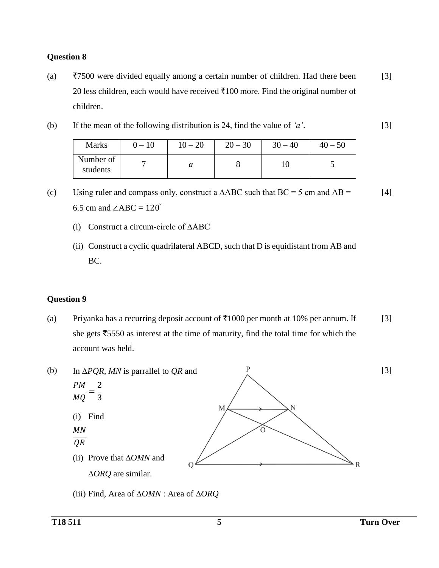## **Question 8**

- (a)  $\overline{57500}$  were divided equally among a certain number of children. Had there been 20 less children, each would have received  $\bar{\tau}100$  more. Find the original number of children. [3]
- (b) If the mean of the following distribution is 24, find the value of *'a'*. [3]

| <b>Marks</b>          | $-10$ | $10 - 20$                  | $20 - 30$ | $-40$<br>30 | $40 - 50$                |
|-----------------------|-------|----------------------------|-----------|-------------|--------------------------|
| Number of<br>students |       | $\boldsymbol{\mathcal{U}}$ |           |             | $\overline{\phantom{a}}$ |

<sup>(</sup>c) Using ruler and compass only, construct a  $\triangle ABC$  such that BC = 5 cm and AB = 6.5 cm and  $\angle ABC = 120^\circ$ [4]

- (i) Construct a circum-circle of ∆ABC
- (ii) Construct a cyclic quadrilateral ABCD, such that D is equidistant from AB and BC.

#### **Question 9**

(a) Priyanka has a recurring deposit account of  $\overline{5}1000$  per month at 10% per annum. If she gets  $\overline{5550}$  as interest at the time of maturity, find the total time for which the account was held. [3]



(iii) Find, Area of *OMN* : Area of *ORQ*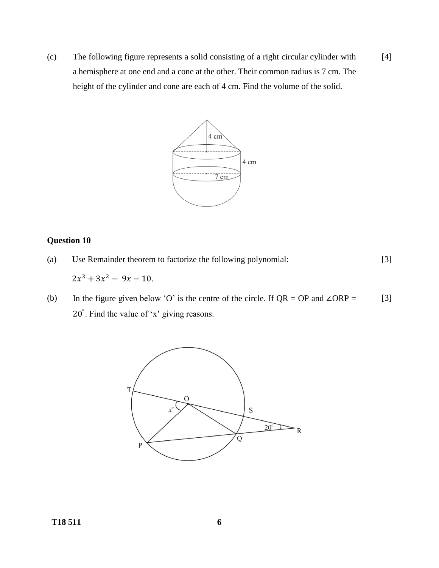(c) The following figure represents a solid consisting of a right circular cylinder with a hemisphere at one end and a cone at the other. Their common radius is 7 cm. The height of the cylinder and cone are each of 4 cm. Find the volume of the solid. [4]



- (a) Use Remainder theorem to factorize the following polynomial:  $2x^3 + 3x^2 - 9x - 10$ . [3]
- (b) In the figure given below 'O' is the centre of the circle. If  $QR = OP$  and  $\angle ORP =$ 20° . Find the value of 'x' giving reasons. [3]